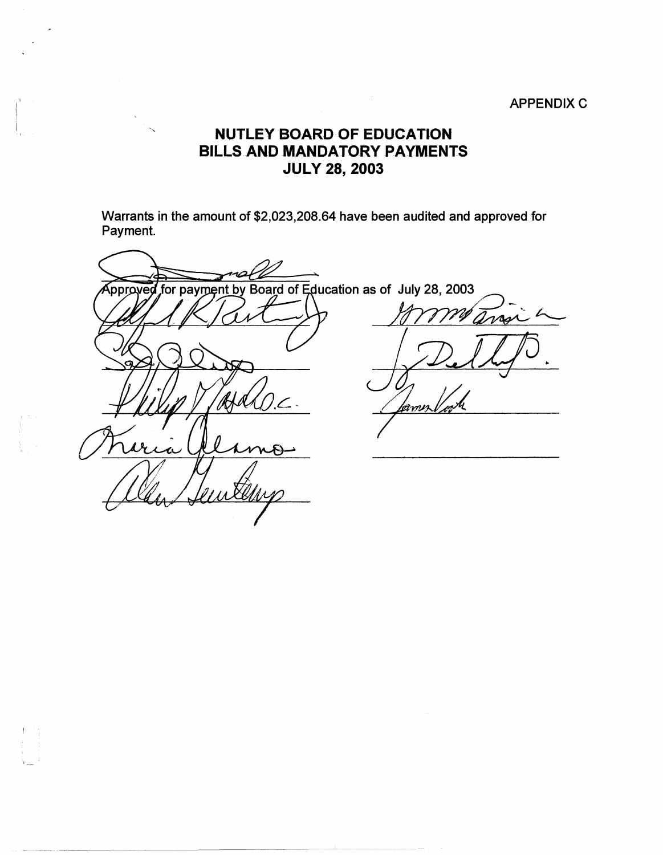#### **APPENDIX C**

#### **NUTLEY BOARD OF EDUCATION** BILLS AND MANDATORY PAYMENTS **JULY 28, 2003**

Warrants in the amount of \$2,023,208.64 have been audited and approved for Payment.

ns Approved for payment by Board of Education as of July 28, 2003  $\nu$ amn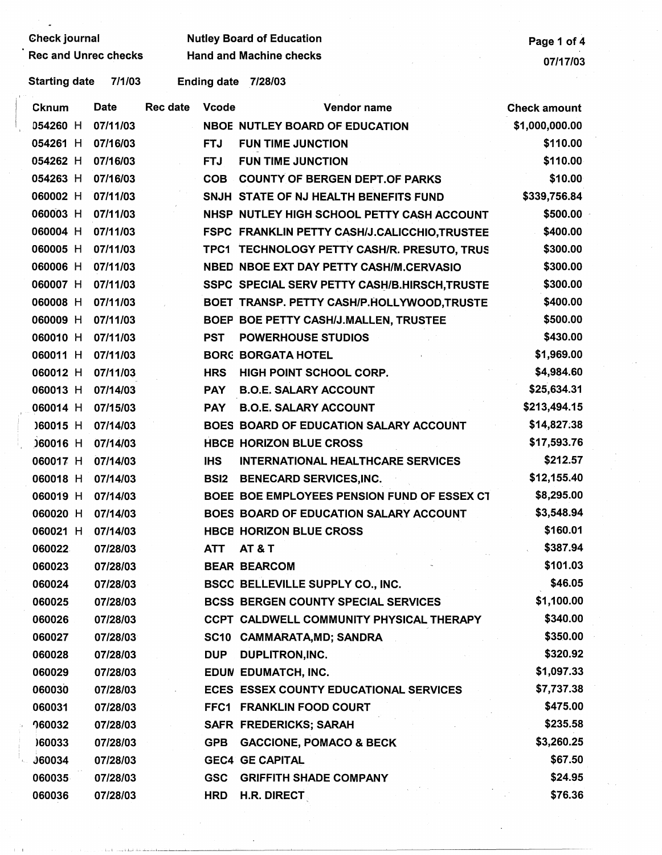# Gheck journal Mutley Board of Education<br>Rec and Unrec checks Hand and Machine checks Page 1 of 4

Hand and Machine checks 07/17/03

Starting date 7/1/03 Ending date 7/28/03

| Date<br>Cknum             | <b>Rec date</b><br><b>Vcode</b> | Vendor name                                   | <b>Check amount</b> |
|---------------------------|---------------------------------|-----------------------------------------------|---------------------|
| 07/11/03<br>054260 H      |                                 | <b>NBOE NUTLEY BOARD OF EDUCATION</b>         | \$1,000,000.00      |
| 054261 H<br>07/16/03      | <b>FTJ</b>                      | <b>FUN TIME JUNCTION</b>                      | \$110.00            |
| 054262 H<br>07/16/03      | <b>FTJ</b>                      | <b>FUN TIME JUNCTION</b>                      | \$110.00            |
| 054263 H<br>07/16/03      | <b>COB</b>                      | <b>COUNTY OF BERGEN DEPT.OF PARKS</b>         | \$10.00             |
| 060002 H<br>07/11/03      |                                 | SNJH STATE OF NJ HEALTH BENEFITS FUND         | \$339,756.84        |
| 060003 H<br>07/11/03      |                                 | NHSP NUTLEY HIGH SCHOOL PETTY CASH ACCOUNT    | \$500.00            |
| 060004 H<br>07/11/03      |                                 | FSPC FRANKLIN PETTY CASH/J.CALICCHIO, TRUSTEE | \$400.00            |
| 060005 H<br>07/11/03      |                                 | TPC1 TECHNOLOGY PETTY CASH/R. PRESUTO, TRUS   | \$300.00            |
| 060006 H<br>07/11/03      |                                 | NBED NBOE EXT DAY PETTY CASH/M.CERVASIO       | \$300.00            |
| 060007 H<br>07/11/03      |                                 | SSPC SPECIAL SERV PETTY CASH/B.HIRSCH, TRUSTE | \$300.00            |
| 060008 H<br>07/11/03      |                                 | BOET TRANSP. PETTY CASH/P.HOLLYWOOD,TRUSTE    | \$400.00            |
| 060009 H<br>07/11/03      |                                 | BOEP BOE PETTY CASH/J.MALLEN, TRUSTEE         | \$500.00            |
| 060010 H<br>07/11/03      | <b>PST</b>                      | <b>POWERHOUSE STUDIOS</b>                     | \$430.00            |
| 060011 H<br>07/11/03      |                                 | <b>BORG BORGATA HOTEL</b>                     | \$1,969.00          |
| 060012 H<br>07/11/03      | <b>HRS</b>                      | HIGH POINT SCHOOL CORP.                       | \$4,984.60          |
| 060013 H<br>07/14/03      | <b>PAY</b>                      | <b>B.O.E. SALARY ACCOUNT</b>                  | \$25,634.31         |
| 060014 H<br>07/15/03      | <b>PAY</b>                      | <b>B.O.E. SALARY ACCOUNT</b>                  | \$213,494.15        |
| )60015 H<br>07/14/03      |                                 | BOES BOARD OF EDUCATION SALARY ACCOUNT        | \$14,827.38         |
| 060016 H<br>07/14/03      |                                 | <b>HBCB HORIZON BLUE CROSS</b>                | \$17,593.76         |
| 060017 H<br>07/14/03      | <b>IHS</b>                      | <b>INTERNATIONAL HEALTHCARE SERVICES</b>      | \$212.57            |
| 060018 H<br>07/14/03      | <b>BSI2</b>                     | <b>BENECARD SERVICES, INC.</b>                | \$12,155.40         |
| 060019 H<br>07/14/03      |                                 | BOEE BOE EMPLOYEES PENSION FUND OF ESSEX CT   | \$8,295.00          |
| 060020 H<br>07/14/03      |                                 | BOES BOARD OF EDUCATION SALARY ACCOUNT        | \$3,548.94          |
| 060021 H<br>07/14/03      |                                 | <b>HBCB HORIZON BLUE CROSS</b>                | \$160.01            |
| 060022<br>07/28/03        | <b>ATT</b>                      | <b>AT &amp; T</b>                             | \$387.94            |
| 060023<br>07/28/03        |                                 | <b>BEAR BEARCOM</b>                           | \$101.03            |
| 07/28/03<br>060024        |                                 | BSCC BELLEVILLE SUPPLY CO., INC.              | \$46.05             |
| 060025<br>07/28/03        |                                 | <b>BCSS BERGEN COUNTY SPECIAL SERVICES</b>    | \$1,100.00          |
| 060026<br>07/28/03        |                                 | CCPT CALDWELL COMMUNITY PHYSICAL THERAPY      | \$340.00            |
| 060027<br>07/28/03        |                                 | SC10 CAMMARATA, MD; SANDRA                    | \$350.00            |
| 060028<br>07/28/03        | <b>DUP</b>                      | <b>DUPLITRON, INC.</b>                        | \$320.92            |
| 060029<br>07/28/03        |                                 | EDUN EDUMATCH, INC.                           | \$1,097.33          |
| 060030<br>07/28/03        |                                 | ECES ESSEX COUNTY EDUCATIONAL SERVICES        | \$7,737.38          |
| 060031<br>07/28/03        |                                 | FFC1 FRANKLIN FOOD COURT                      | \$475.00            |
| <b>060032</b><br>07/28/03 |                                 | <b>SAFR FREDERICKS; SARAH</b>                 | \$235.58            |
| 160033<br>07/28/03        | <b>GPB</b>                      | <b>GACCIONE, POMACO &amp; BECK</b>            | \$3,260.25          |
| <b>J60034</b><br>07/28/03 |                                 | <b>GEC4 GE CAPITAL</b>                        | \$67.50             |
| 060035<br>07/28/03        | <b>GSC</b>                      | <b>GRIFFITH SHADE COMPANY</b>                 | \$24.95             |
| 060036<br>07/28/03        | <b>HRD</b>                      | <b>H.R. DIRECT</b>                            | \$76.36             |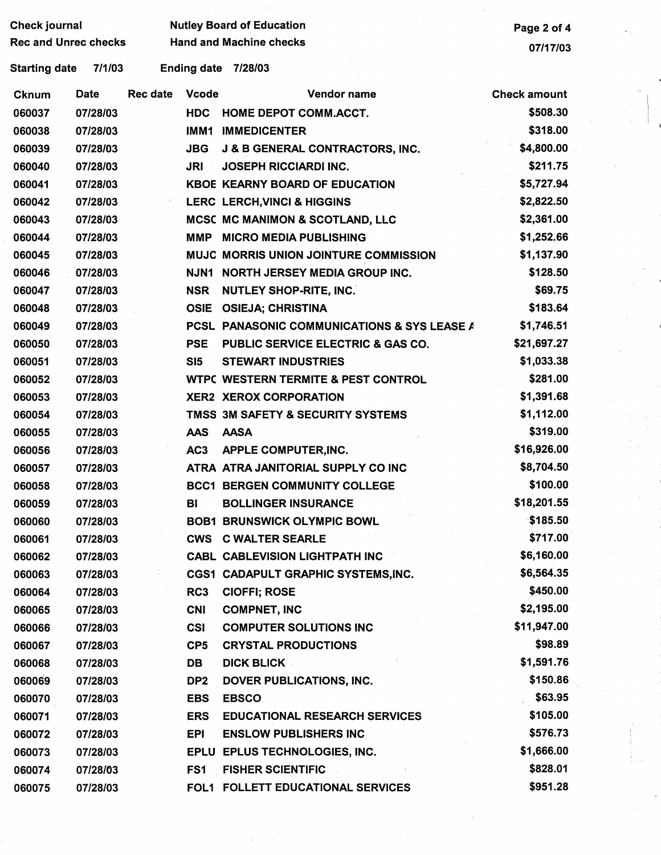| Check journal               |          |                 |                                | <b>Nutley Board of Education</b>               | Page 2 of 4         |
|-----------------------------|----------|-----------------|--------------------------------|------------------------------------------------|---------------------|
| <b>Rec and Unrec checks</b> |          |                 | <b>Hand and Machine checks</b> |                                                |                     |
| <b>Starting date</b>        | 7/1/03   |                 | <b>Ending date</b>             | 7/28/03                                        | 07/17/03            |
| Cknum                       | Date     | <b>Rec date</b> | <b>Vcode</b>                   | Vendor name                                    | <b>Check amount</b> |
| 060037                      | 07/28/03 |                 | <b>HDC</b>                     | <b>HOME DEPOT COMM.ACCT.</b>                   | \$508.30            |
| 060038                      | 07/28/03 |                 | IMM1                           | <b>IMMEDICENTER</b>                            | \$318.00            |
| 060039                      | 07/28/03 |                 | <b>JBG</b>                     | <b>J &amp; B GENERAL CONTRACTORS, INC.</b>     | \$4,800.00          |
| 060040                      | 07/28/03 |                 | <b>JRI</b>                     | <b>JOSEPH RICCIARDI INC.</b>                   | \$211.75            |
| 060041                      | 07/28/03 |                 |                                | <b>KBOE KEARNY BOARD OF EDUCATION</b>          | \$5,727.94          |
| 060042                      | 07/28/03 |                 |                                | <b>LERC LERCH, VINCI &amp; HIGGINS</b>         | \$2,822.50          |
| 060043                      | 07/28/03 |                 |                                | <b>MCSC MC MANIMON &amp; SCOTLAND, LLC</b>     | \$2,361.00          |
| 060044                      | 07/28/03 |                 | <b>MMP</b>                     | <b>MICRO MEDIA PUBLISHING</b>                  | \$1,252.66          |
| 060045                      | 07/28/03 |                 |                                | <b>MUJC MORRIS UNION JOINTURE COMMISSION</b>   | \$1,137.90          |
| 060046                      | 07/28/03 |                 | <b>NJN1</b>                    | <b>NORTH JERSEY MEDIA GROUP INC.</b>           | \$128.50            |
| 060047                      | 07/28/03 |                 | <b>NSR</b>                     | <b>NUTLEY SHOP-RITE, INC.</b>                  | \$69.75             |
| 060048                      | 07/28/03 |                 | <b>OSIE</b>                    | <b>OSIEJA: CHRISTINA</b>                       | \$183.64            |
| 060049                      | 07/28/03 |                 |                                | PCSL PANASONIC COMMUNICATIONS & SYS LEASE A    | \$1,746.51          |
| 060050                      | 07/28/03 |                 | <b>PSE</b>                     | <b>PUBLIC SERVICE ELECTRIC &amp; GAS CO.</b>   | \$21,697.27         |
| 060051                      | 07/28/03 |                 | SI <sub>5</sub>                | <b>STEWART INDUSTRIES</b>                      | \$1,033.38          |
| 060052                      | 07/28/03 |                 |                                | <b>WTPC WESTERN TERMITE &amp; PEST CONTROL</b> | \$281.00            |
| 060053                      | 07/28/03 |                 |                                | <b>XER2 XEROX CORPORATION</b>                  | \$1,391.68          |
| 060054                      | 07/28/03 |                 |                                | TMSS 3M SAFETY & SECURITY SYSTEMS              | \$1,112.00          |
| 060055                      | 07/28/03 |                 | <b>AAS</b>                     | <b>AASA</b>                                    | \$319.00            |
| 060056                      | 07/28/03 |                 | AC <sub>3</sub>                | APPLE COMPUTER, INC.                           | \$16,926.00         |
| 060057                      | 07/28/03 |                 |                                | ATRA ATRA JANITORIAL SUPPLY CO INC             | \$8,704.50          |
| 060058                      | 07/28/03 |                 |                                | <b>BCC1 BERGEN COMMUNITY COLLEGE</b>           | \$100.00            |
| 060059                      | 07/28/03 |                 | BI                             | <b>BOLLINGER INSURANCE</b>                     | \$18,201.55         |
| 060060                      | 07/28/03 |                 |                                | <b>BOB1 BRUNSWICK OLYMPIC BOWL</b>             | \$185.50            |
| 060061                      | 07/28/03 |                 |                                | <b>CWS C WALTER SEARLE</b>                     | \$717.00            |
| 060062                      | 07/28/03 |                 |                                | <b>CABL CABLEVISION LIGHTPATH INC</b>          | \$6,160.00          |
| 060063                      | 07/28/03 |                 |                                | CGS1 CADAPULT GRAPHIC SYSTEMS, INC.            | \$6,564.35          |
| 060064                      | 07/28/03 |                 | RC3                            | <b>CIOFFI; ROSE</b>                            | \$450.00            |
| 060065                      | 07/28/03 |                 | <b>CNI</b>                     | <b>COMPNET, INC</b>                            | \$2,195.00          |
| 060066                      | 07/28/03 |                 | <b>CSI</b>                     | <b>COMPUTER SOLUTIONS INC</b>                  | \$11,947.00         |
| 060067                      | 07/28/03 |                 | CP <sub>5</sub>                | <b>CRYSTAL PRODUCTIONS</b>                     | \$98.89             |
| 060068                      | 07/28/03 |                 | DB                             | <b>DICK BLICK</b>                              | \$1,591.76          |
| 060069                      | 07/28/03 |                 | DP <sub>2</sub>                | DOVER PUBLICATIONS, INC.                       | \$150.86            |
| 060070                      | 07/28/03 |                 | <b>EBS</b>                     | <b>EBSCO</b>                                   | \$63.95             |
| 060071                      | 07/28/03 |                 | <b>ERS</b>                     | <b>EDUCATIONAL RESEARCH SERVICES</b>           | \$105.00            |
| 060072                      | 07/28/03 |                 | EPI                            | <b>ENSLOW PUBLISHERS INC</b>                   | \$576.73            |
| 060073                      | 07/28/03 |                 |                                | EPLU EPLUS TECHNOLOGIES, INC.                  | \$1,666.00          |
| 060074                      | 07/28/03 |                 | FS1                            | <b>FISHER SCIENTIFIC</b>                       | \$828.01            |
| 060075                      | 07/28/03 |                 |                                | FOL1 FOLLETT EDUCATIONAL SERVICES              | \$951.28            |

 $\frac{1}{4}$  .

 $\epsilon$ 

 $\hat{\boldsymbol{\epsilon}}$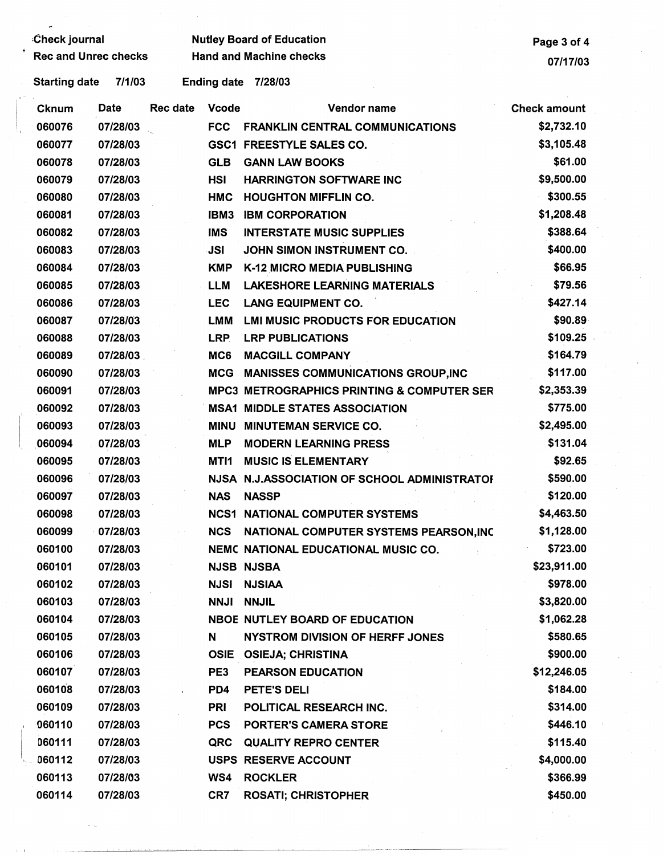÷,

## Check journal **Mutley Board of Education**<br>Rec and Unrec checks **Hand and Machine checks** Page 3 of 4

Starting date 7/1/03 Ending date 7/28/03

| Cknum  | Date     | Rec date | <b>Vcode</b> | Vendor name                                           | <b>Check amount</b> |
|--------|----------|----------|--------------|-------------------------------------------------------|---------------------|
| 060076 | 07/28/03 |          | <b>FCC</b>   | <b>FRANKLIN CENTRAL COMMUNICATIONS</b>                | \$2,732.10          |
| 060077 | 07/28/03 |          |              | <b>GSC1 FREESTYLE SALES CO.</b>                       | \$3,105.48          |
| 060078 | 07/28/03 |          | <b>GLB</b>   | <b>GANN LAW BOOKS</b>                                 | \$61.00             |
| 060079 | 07/28/03 |          | <b>HSI</b>   | <b>HARRINGTON SOFTWARE INC</b>                        | \$9,500.00          |
| 060080 | 07/28/03 |          | <b>HMC</b>   | <b>HOUGHTON MIFFLIN CO.</b>                           | \$300.55            |
| 060081 | 07/28/03 |          | IBM3         | <b>IBM CORPORATION</b>                                | \$1,208.48          |
| 060082 | 07/28/03 |          | <b>IMS</b>   | <b>INTERSTATE MUSIC SUPPLIES</b>                      | \$388.64            |
| 060083 | 07/28/03 |          | <b>JSI</b>   | JOHN SIMON INSTRUMENT CO.                             | \$400.00            |
| 060084 | 07/28/03 |          | <b>KMP</b>   | <b>K-12 MICRO MEDIA PUBLISHING</b>                    | \$66.95             |
| 060085 | 07/28/03 |          | LLM          | <b>LAKESHORE LEARNING MATERIALS</b>                   | \$79.56             |
| 060086 | 07/28/03 |          | <b>LEC</b>   | <b>LANG EQUIPMENT CO.</b>                             | \$427.14            |
| 060087 | 07/28/03 |          | <b>LMM</b>   | <b>LMI MUSIC PRODUCTS FOR EDUCATION</b>               | \$90.89             |
| 060088 | 07/28/03 |          | <b>LRP</b>   | <b>LRP PUBLICATIONS</b>                               | \$109.25            |
| 060089 | 07/28/03 |          | MC6          | <b>MACGILL COMPANY</b>                                | \$164.79            |
| 060090 | 07/28/03 |          | <b>MCG</b>   | <b>MANISSES COMMUNICATIONS GROUP, INC</b>             | \$117.00            |
| 060091 | 07/28/03 |          |              | <b>MPC3 METROGRAPHICS PRINTING &amp; COMPUTER SER</b> | \$2,353.39          |
| 060092 | 07/28/03 |          |              | <b>MSA1 MIDDLE STATES ASSOCIATION</b>                 | \$775.00            |
| 060093 | 07/28/03 |          | MINU         | <b>MINUTEMAN SERVICE CO.</b>                          | \$2,495.00          |
| 060094 | 07/28/03 |          | <b>MLP</b>   | <b>MODERN LEARNING PRESS</b>                          | \$131.04            |
| 060095 | 07/28/03 |          | MTI1         | <b>MUSIC IS ELEMENTARY</b>                            | \$92.65             |
| 060096 | 07/28/03 |          |              | NJSA N.J.ASSOCIATION OF SCHOOL ADMINISTRATOR          | \$590.00            |
| 060097 | 07/28/03 |          | <b>NAS</b>   | <b>NASSP</b>                                          | \$120.00            |
| 060098 | 07/28/03 |          | <b>NCS1</b>  | <b>NATIONAL COMPUTER SYSTEMS</b>                      | \$4,463.50          |
| 060099 | 07/28/03 |          | <b>NCS</b>   | NATIONAL COMPUTER SYSTEMS PEARSON, INC                | \$1,128.00          |
| 060100 | 07/28/03 |          |              | NEMC NATIONAL EDUCATIONAL MUSIC CO.                   | \$723.00            |
| 060101 | 07/28/03 |          |              | <b>NJSB NJSBA</b>                                     | \$23,911.00         |
| 060102 | 07/28/03 |          | <b>NJSI</b>  | <b>NJSIAA</b>                                         | \$978.00            |
| 060103 | 07/28/03 |          | <b>NNJI</b>  | <b>NNJIL</b>                                          | \$3,820.00          |
| 060104 | 07/28/03 |          |              | <b>NBOE NUTLEY BOARD OF EDUCATION</b>                 | \$1,062.28          |
| 060105 | 07/28/03 |          | N            | <b>NYSTROM DIVISION OF HERFF JONES</b>                | \$580.65            |
| 060106 | 07/28/03 |          | <b>OSIE</b>  | <b>OSIEJA; CHRISTINA</b>                              | \$900.00            |
| 060107 | 07/28/03 |          | PE3          | <b>PEARSON EDUCATION</b>                              | \$12,246.05         |
| 060108 | 07/28/03 |          | PD4          | PETE'S DELI                                           | \$184.00            |
| 060109 | 07/28/03 |          | <b>PRI</b>   | POLITICAL RESEARCH INC.                               | \$314.00            |
| 060110 | 07/28/03 |          | <b>PCS</b>   | <b>PORTER'S CAMERA STORE</b>                          | \$446.10            |
| 060111 | 07/28/03 |          | QRC          | <b>QUALITY REPRO CENTER</b>                           | \$115.40            |
| 060112 | 07/28/03 |          |              | USPS RESERVE ACCOUNT                                  | \$4,000.00          |
| 060113 | 07/28/03 |          | WS4          | <b>ROCKLER</b>                                        | \$366.99            |
| 060114 | 07/28/03 |          | CR7          | <b>ROSATI; CHRISTOPHER</b>                            | \$450.00            |